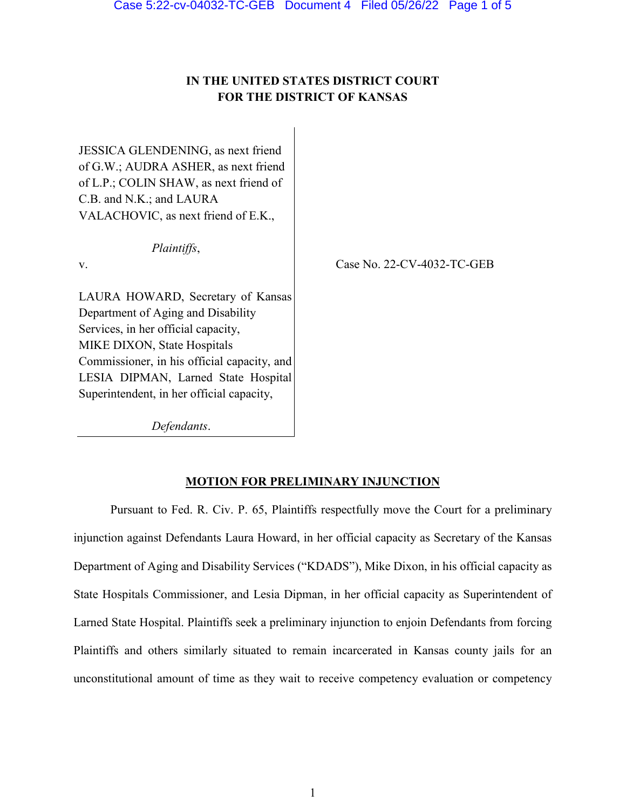# **IN THE UNITED STATES DISTRICT COURT FOR THE DISTRICT OF KANSAS**

JESSICA GLENDENING, as next friend of G.W.; AUDRA ASHER, as next friend of L.P.; COLIN SHAW, as next friend of C.B. and N.K.; and LAURA VALACHOVIC, as next friend of E.K.,

*Plaintiffs*,

v.

Case No. 22-CV-4032-TC-GEB

LAURA HOWARD, Secretary of Kansas Department of Aging and Disability Services, in her official capacity, MIKE DIXON, State Hospitals Commissioner, in his official capacity, and LESIA DIPMAN, Larned State Hospital Superintendent, in her official capacity,

*Defendants*.

#### **MOTION FOR PRELIMINARY INJUNCTION**

Pursuant to Fed. R. Civ. P. 65, Plaintiffs respectfully move the Court for a preliminary injunction against Defendants Laura Howard, in her official capacity as Secretary of the Kansas Department of Aging and Disability Services ("KDADS"), Mike Dixon, in his official capacity as State Hospitals Commissioner, and Lesia Dipman, in her official capacity as Superintendent of Larned State Hospital. Plaintiffs seek a preliminary injunction to enjoin Defendants from forcing Plaintiffs and others similarly situated to remain incarcerated in Kansas county jails for an unconstitutional amount of time as they wait to receive competency evaluation or competency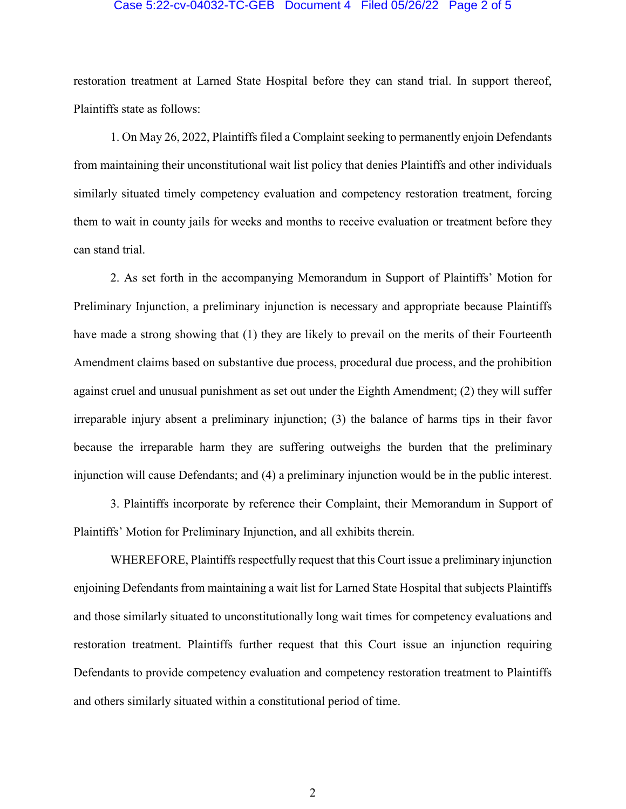#### Case 5:22-cv-04032-TC-GEB Document 4 Filed 05/26/22 Page 2 of 5

restoration treatment at Larned State Hospital before they can stand trial. In support thereof, Plaintiffs state as follows:

1. On May 26, 2022, Plaintiffs filed a Complaint seeking to permanently enjoin Defendants from maintaining their unconstitutional wait list policy that denies Plaintiffs and other individuals similarly situated timely competency evaluation and competency restoration treatment, forcing them to wait in county jails for weeks and months to receive evaluation or treatment before they can stand trial.

2. As set forth in the accompanying Memorandum in Support of Plaintiffs' Motion for Preliminary Injunction, a preliminary injunction is necessary and appropriate because Plaintiffs have made a strong showing that (1) they are likely to prevail on the merits of their Fourteenth Amendment claims based on substantive due process, procedural due process, and the prohibition against cruel and unusual punishment as set out under the Eighth Amendment; (2) they will suffer irreparable injury absent a preliminary injunction; (3) the balance of harms tips in their favor because the irreparable harm they are suffering outweighs the burden that the preliminary injunction will cause Defendants; and (4) a preliminary injunction would be in the public interest.

3. Plaintiffs incorporate by reference their Complaint, their Memorandum in Support of Plaintiffs' Motion for Preliminary Injunction, and all exhibits therein.

WHEREFORE, Plaintiffs respectfully request that this Court issue a preliminary injunction enjoining Defendants from maintaining a wait list for Larned State Hospital that subjects Plaintiffs and those similarly situated to unconstitutionally long wait times for competency evaluations and restoration treatment. Plaintiffs further request that this Court issue an injunction requiring Defendants to provide competency evaluation and competency restoration treatment to Plaintiffs and others similarly situated within a constitutional period of time.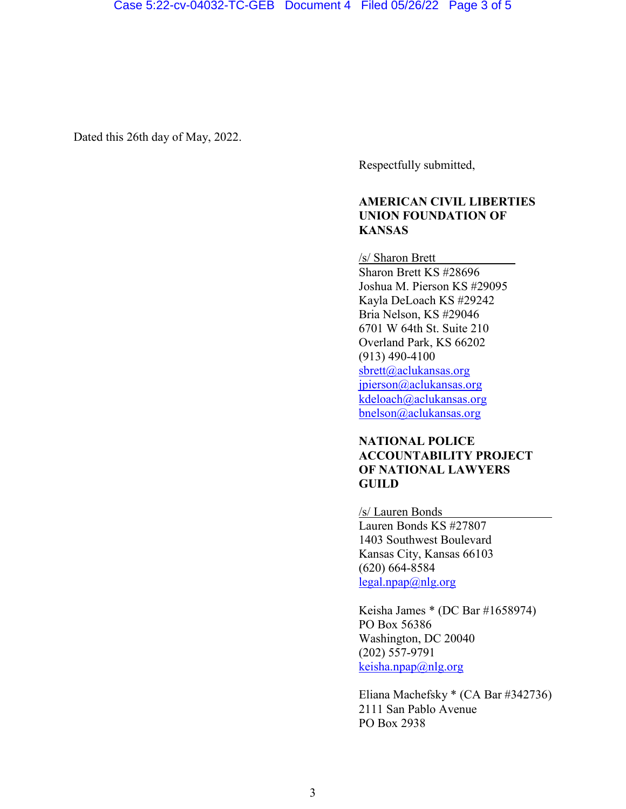Dated this 26th day of May, 2022.

Respectfully submitted,

#### **AMERICAN CIVIL LIBERTIES UNION FOUNDATION OF KANSAS**

/s/ Sharon Brett Sharon Brett KS #28696 Joshua M. Pierson KS #29095 Kayla DeLoach KS #29242 Bria Nelson, KS #29046 6701 W 64th St. Suite 210 Overland Park, KS 66202 (913) 490-4100 [sbrett@aclukansas.org](mailto:sbrett@aclukansas.org) [jpierson@aclukansas.org](mailto:jpierson@aclukansas.org) [kdeloach@aclukansas.org](mailto:kdeloach@aclukansas.org) bnelson@aclukansas.org

### **NATIONAL POLICE ACCOUNTABILITY PROJECT OF NATIONAL LAWYERS GUILD**

#### /s/ Lauren Bonds

Lauren Bonds KS #27807 1403 Southwest Boulevard Kansas City, Kansas 66103 (620) 664-8584 [legal.npap@nlg.org](mailto:legal.npap@nlg.org)

Keisha James \* (DC Bar #1658974) PO Box 56386 Washington, DC 20040 (202) 557-9791  $keisha,npap@nlg.org$ 

Eliana Machefsky \* (CA Bar #342736) 2111 San Pablo Avenue PO Box 2938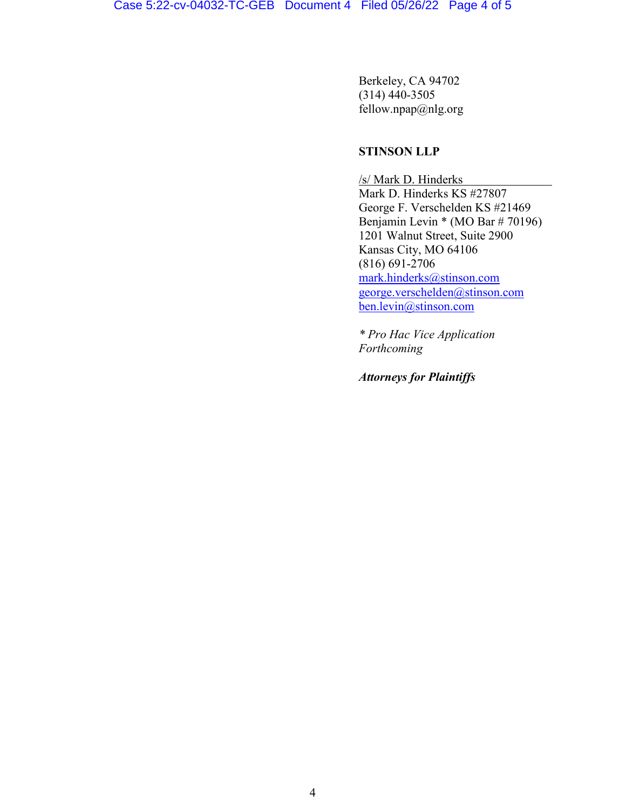Berkeley, CA 94702 (314) 440-3505 fellow.npap@nlg.org

#### **STINSON LLP**

/s/ Mark D. Hinderks Mark D. Hinderks KS #27807 George F. Verschelden KS #21469 Benjamin Levin \* (MO Bar # 70196) 1201 Walnut Street, Suite 2900 Kansas City, MO 64106 (816) 691-2706 [mark.hinderks@stinson.com](mailto:mark.hinderks@stinson.com) [george.verschelden@stinson.com](mailto:george.verschelden@stinson.com) ben.levin@stinson.com

*\* Pro Hac Vice Application Forthcoming*

*Attorneys for Plaintiffs*